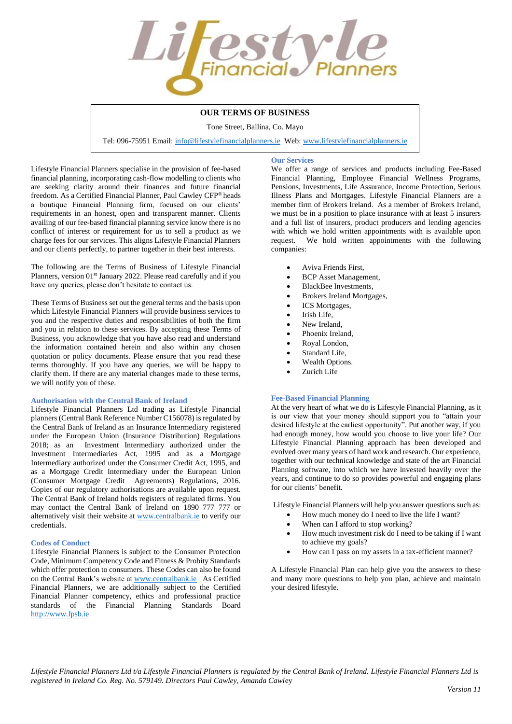

# **OUR TERMS OF BUSINESS**

Tone Street, Ballina, Co. Mayo

Tel: 096-75951 Email[: info@lifestylefinancialplanners.ie](mailto:info@lifestylefinancialplanners.ie) Web[: www.lifestylefinancialplanners.ie](http://www.lifestylefinancialplanners.ie/)

**Our Services**

Lifestyle Financial Planners specialise in the provision of fee-based financial planning, incorporating cash-flow modelling to clients who are seeking clarity around their finances and future financial freedom. As a Certified Financial Planner, Paul Cawley CFP® heads a boutique Financial Planning firm, focused on our clients' requirements in an honest, open and transparent manner. Clients availing of our fee-based financial planning service know there is no conflict of interest or requirement for us to sell a product as we charge fees for our services. This aligns Lifestyle Financial Planners and our clients perfectly, to partner together in their best interests.

The following are the Terms of Business of Lifestyle Financial Planners, version 01<sup>st</sup> January 2022. Please read carefully and if you have any queries, please don't hesitate to contact us.

These Terms of Business set out the general terms and the basis upon which Lifestyle Financial Planners will provide business services to you and the respective duties and responsibilities of both the firm and you in relation to these services. By accepting these Terms of Business, you acknowledge that you have also read and understand the information contained herein and also within any chosen quotation or policy documents. Please ensure that you read these terms thoroughly. If you have any queries, we will be happy to clarify them. If there are any material changes made to these terms, we will notify you of these.

## **Authorisation with the Central Bank of Ireland**

Lifestyle Financial Planners Ltd trading as Lifestyle Financial planners (Central Bank Reference Number C156078) is regulated by the Central Bank of Ireland as an Insurance Intermediary registered under the European Union (Insurance Distribution) Regulations 2018; as an Investment Intermediary authorized under the Investment Intermediaries Act, 1995 and as a Mortgage Intermediary authorized under the Consumer Credit Act, 1995, and as a Mortgage Credit Intermediary under the European Union (Consumer Mortgage Credit Agreements) Regulations, 2016. Copies of our regulatory authorisations are available upon request. The Central Bank of Ireland holds registers of regulated firms. You may contact the Central Bank of Ireland on 1890 777 777 or alternatively visit their website at [www.centralbank.ie](http://www.centralbank.ie/) to verify our credentials.

## **Codes of Conduct**

Lifestyle Financial Planners is subject to the Consumer Protection Code, Minimum Competency Code and Fitness & Probity Standards which offer protection to consumers. These Codes can also be found on the Central Bank's website at [www.centralbank.ie](http://www.centralbank.ie/) As Certified Financial Planners, we are additionally subject to the Certified Financial Planner competency, ethics and professional practice standards of the Financial Planning Standards Board [http://www.fpsb.ie](http://www.fpsb.ie/)

We offer a range of services and products including Fee-Based Financial Planning, Employee Financial Wellness Programs, Pensions, Investments, Life Assurance, Income Protection, Serious Illness Plans and Mortgages. Lifestyle Financial Planners are a member firm of Brokers Ireland. As a member of Brokers Ireland, we must be in a position to place insurance with at least 5 insurers and a full list of insurers, product producers and lending agencies with which we hold written appointments with is available upon request. We hold written appointments with the following companies:

- Aviva Friends First,
- BCP Asset Management,
- BlackBee Investments,
- Brokers Ireland Mortgages,
- ICS Mortgages,
- Irish Life.
- New Ireland.
- Phoenix Ireland,
- Royal London,
- Standard Life,
- Wealth Options.
- Zurich Life

### **Fee-Based Financial Planning**

At the very heart of what we do is Lifestyle Financial Planning, as it is our view that your money should support you to "attain your desired lifestyle at the earliest opportunity". Put another way, if you had enough money, how would you choose to live your life? Our Lifestyle Financial Planning approach has been developed and evolved over many years of hard work and research. Our experience, together with our technical knowledge and state of the art Financial Planning software, into which we have invested heavily over the years, and continue to do so provides powerful and engaging plans for our clients' benefit.

Lifestyle Financial Planners will help you answer questions such as:

- How much money do I need to live the life I want?
- When can I afford to stop working?
- How much investment risk do I need to be taking if I want to achieve my goals?
- How can I pass on my assets in a tax-efficient manner?

A Lifestyle Financial Plan can help give you the answers to these and many more questions to help you plan, achieve and maintain your desired lifestyle.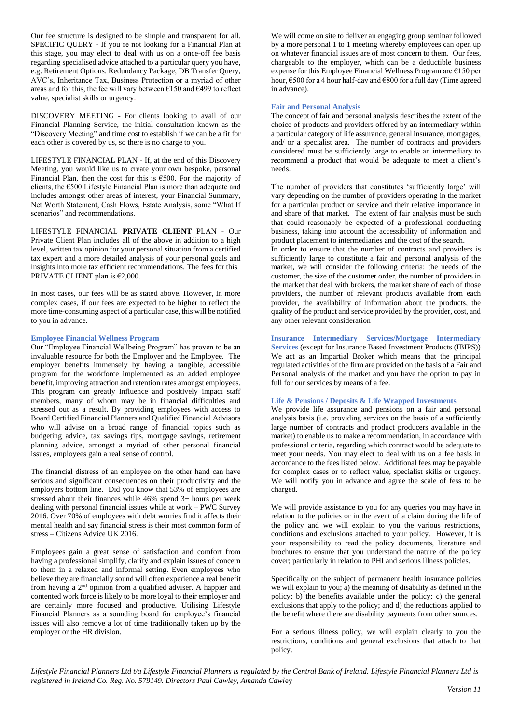Our fee structure is designed to be simple and transparent for all. SPECIFIC QUERY - If you're not looking for a Financial Plan at this stage, you may elect to deal with us on a once-off fee basis regarding specialised advice attached to a particular query you have, e.g. Retirement Options. Redundancy Package, DB Transfer Query, AVC's, Inheritance Tax, Business Protection or a myriad of other areas and for this, the fee will vary between €150 and €499 to reflect value, specialist skills or urgency.

DISCOVERY MEETING - For clients looking to avail of our Financial Planning Service, the initial consultation known as the "Discovery Meeting" and time cost to establish if we can be a fit for each other is covered by us, so there is no charge to you.

LIFESTYLE FINANCIAL PLAN - If, at the end of this Discovery Meeting, you would like us to create your own bespoke, personal Financial Plan, then the cost for this is  $€500$ . For the majority of clients, the  $\epsilon$ 500 Lifestyle Financial Plan is more than adequate and includes amongst other areas of interest, your Financial Summary, Net Worth Statement, Cash Flows, Estate Analysis, some "What If scenarios" and recommendations.

LIFESTYLE FINANCIAL **PRIVATE CLIENT** PLAN - Our Private Client Plan includes all of the above in addition to a high level, written tax opinion for your personal situation from a certified tax expert and a more detailed analysis of your personal goals and insights into more tax efficient recommendations. The fees for this PRIVATE CLIENT plan is  $€2,000$ .

In most cases, our fees will be as stated above. However, in more complex cases, if our fees are expected to be higher to reflect the more time-consuming aspect of a particular case, this will be notified to you in advance.

### **Employee Financial Wellness Program**

Our "Employee Financial Wellbeing Program" has proven to be an invaluable resource for both the Employer and the Employee. The employer benefits immensely by having a tangible, accessible program for the workforce implemented as an added employee benefit, improving attraction and retention rates amongst employees. This program can greatly influence and positively impact staff members, many of whom may be in financial difficulties and stressed out as a result. By providing employees with access to Board Certified Financial Planners and Qualified Financial Advisors who will advise on a broad range of financial topics such as budgeting advice, tax savings tips, mortgage savings, retirement planning advice, amongst a myriad of other personal financial issues, employees gain a real sense of control.

The financial distress of an employee on the other hand can have serious and significant consequences on their productivity and the employers bottom line. Did you know that 53% of employees are stressed about their finances while 46% spend 3+ hours per week dealing with personal financial issues while at work – PWC Survey 2016. Over 70% of employees with debt worries find it affects their mental health and say financial stress is their most common form of stress – Citizens Advice UK 2016.

Employees gain a great sense of satisfaction and comfort from having a professional simplify, clarify and explain issues of concern to them in a relaxed and informal setting. Even employees who believe they are financially sound will often experience a real benefit from having a 2nd opinion from a qualified adviser. A happier and contented work force is likely to be more loyal to their employer and are certainly more focused and productive. Utilising Lifestyle Financial Planners as a sounding board for employee's financial issues will also remove a lot of time traditionally taken up by the employer or the HR division.

We will come on site to deliver an engaging group seminar followed by a more personal 1 to 1 meeting whereby employees can open up on whatever financial issues are of most concern to them. Our fees, chargeable to the employer, which can be a deductible business expense for this Employee Financial Wellness Program are €150 per hour, €500 for a 4 hour half-day and €800 for a full day (Time agreed in advance).

# **Fair and Personal Analysis**

The concept of fair and personal analysis describes the extent of the choice of products and providers offered by an intermediary within a particular category of life assurance, general insurance, mortgages, and/ or a specialist area. The number of contracts and providers considered must be sufficiently large to enable an intermediary to recommend a product that would be adequate to meet a client's needs.

The number of providers that constitutes 'sufficiently large' will vary depending on the number of providers operating in the market for a particular product or service and their relative importance in and share of that market. The extent of fair analysis must be such that could reasonably be expected of a professional conducting business, taking into account the accessibility of information and product placement to intermediaries and the cost of the search.

In order to ensure that the number of contracts and providers is sufficiently large to constitute a fair and personal analysis of the market, we will consider the following criteria: the needs of the customer, the size of the customer order, the number of providers in the market that deal with brokers, the market share of each of those providers, the number of relevant products available from each provider, the availability of information about the products, the quality of the product and service provided by the provider, cost, and any other relevant consideration

**Insurance Intermediary Services/Mortgage Intermediary Services** (except for Insurance Based Investment Products (IBIPS)) We act as an Impartial Broker which means that the principal regulated activities of the firm are provided on the basis of a Fair and Personal analysis of the market and you have the option to pay in full for our services by means of a fee.

## **Life & Pensions / Deposits & Life Wrapped Investments**

We provide life assurance and pensions on a fair and personal analysis basis (i.e. providing services on the basis of a sufficiently large number of contracts and product producers available in the market) to enable us to make a recommendation, in accordance with professional criteria, regarding which contract would be adequate to meet your needs. You may elect to deal with us on a fee basis in accordance to the fees listed below. Additional fees may be payable for complex cases or to reflect value, specialist skills or urgency. We will notify you in advance and agree the scale of fess to be charged.

We will provide assistance to you for any queries you may have in relation to the policies or in the event of a claim during the life of the policy and we will explain to you the various restrictions, conditions and exclusions attached to your policy. However, it is your responsibility to read the policy documents, literature and brochures to ensure that you understand the nature of the policy cover; particularly in relation to PHI and serious illness policies.

Specifically on the subject of permanent health insurance policies we will explain to you; a) the meaning of disability as defined in the policy; b) the benefits available under the policy; c) the general exclusions that apply to the policy; and d) the reductions applied to the benefit where there are disability payments from other sources.

For a serious illness policy, we will explain clearly to you the restrictions, conditions and general exclusions that attach to that policy.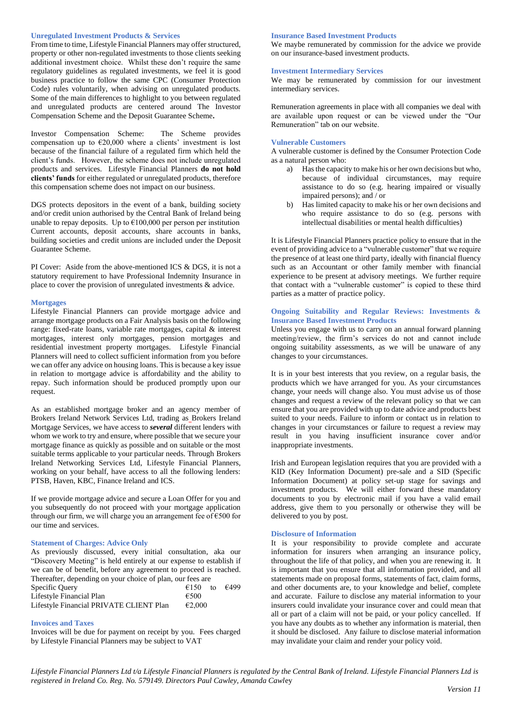# **Unregulated Investment Products & Services**

From time to time, Lifestyle Financial Planners may offer structured, property or other non-regulated investments to those clients seeking additional investment choice. Whilst these don't require the same regulatory guidelines as regulated investments, we feel it is good business practice to follow the same CPC (Consumer Protection Code) rules voluntarily, when advising on unregulated products. Some of the main differences to highlight to you between regulated and unregulated products are centered around The Investor Compensation Scheme and the Deposit Guarantee Scheme**.**

Investor Compensation Scheme: The Scheme provides compensation up to  $\epsilon$ 20,000 where a clients' investment is lost because of the financial failure of a regulated firm which held the client's funds. However, the scheme does not include unregulated products and services. Lifestyle Financial Planners **do not hold clients' funds** for either regulated or unregulated products, therefore this compensation scheme does not impact on our business.

DGS protects depositors in the event of a bank, building society and/or credit union authorised by the Central Bank of Ireland being unable to repay deposits. Up to  $\epsilon$ 100,000 per person per institution Current accounts, deposit accounts, share accounts in banks, building societies and credit unions are included under the Deposit Guarantee Scheme.

PI Cover: Aside from the above-mentioned ICS & DGS, it is not a statutory requirement to have Professional Indemnity Insurance in place to cover the provision of unregulated investments & advice.

### **Mortgages**

Lifestyle Financial Planners can provide mortgage advice and arrange mortgage products on a Fair Analysis basis on the following range: fixed-rate loans, variable rate mortgages, capital & interest mortgages, interest only mortgages, pension mortgages and residential investment property mortgages. Lifestyle Financial Planners will need to collect sufficient information from you before we can offer any advice on housing loans. This is because a key issue in relation to mortgage advice is affordability and the ability to repay. Such information should be produced promptly upon our request.

As an established mortgage broker and an agency member of Brokers Ireland Network Services Ltd, trading as Brokers Ireland Mortgage Services, we have access to *several* different lenders with whom we work to try and ensure, where possible that we secure your mortgage finance as quickly as possible and on suitable or the most suitable terms applicable to your particular needs. Through Brokers Ireland Networking Services Ltd, Lifestyle Financial Planners, working on your behalf, have access to all the following lenders: PTSB, Haven, KBC, Finance Ireland and ICS.

If we provide mortgage advice and secure a Loan Offer for you and you subsequently do not proceed with your mortgage application through our firm, we will charge you an arrangement fee of €500 for our time and services.

## **Statement of Charges: Advice Only**

As previously discussed, every initial consultation, aka our "Discovery Meeting" is held entirely at our expense to establish if we can be of benefit, before any agreement to proceed is reached. Thereafter, depending on your choice of plan, our fees are Specific Query  $\epsilon$ 150 to  $\epsilon$ 499 Lifestyle Financial Plan  $\epsilon$ 500 Lifestyle Financial PRIVATE CLIENT Plan €2,000

# **Invoices and Taxes**

Invoices will be due for payment on receipt by you. Fees charged by Lifestyle Financial Planners may be subject to VAT

#### **Insurance Based Investment Products**

We maybe remunerated by commission for the advice we provide on our insurance-based investment products.

# **Investment Intermediary Services**

We may be remunerated by commission for our investment intermediary services.

Remuneration agreements in place with all companies we deal with are available upon request or can be viewed under the "Our Remuneration" tab on our website.

#### **Vulnerable Customers**

A vulnerable customer is defined by the Consumer Protection Code as a natural person who:

- a) Has the capacity to make his or her own decisions but who, because of individual circumstances, may require assistance to do so (e.g. hearing impaired or visually impaired persons); and / or
- b) Has limited capacity to make his or her own decisions and who require assistance to do so (e.g. persons with intellectual disabilities or mental health difficulties)

It is Lifestyle Financial Planners practice policy to ensure that in the event of providing advice to a "vulnerable customer" that we require the presence of at least one third party, ideally with financial fluency such as an Accountant or other family member with financial experience to be present at advisory meetings. We further require that contact with a "vulnerable customer" is copied to these third parties as a matter of practice policy.

# **Ongoing Suitability and Regular Reviews: Investments & Insurance Based Investment Products**

Unless you engage with us to carry on an annual forward planning meeting/review, the firm's services do not and cannot include ongoing suitability assessments, as we will be unaware of any changes to your circumstances.

It is in your best interests that you review, on a regular basis, the products which we have arranged for you. As your circumstances change, your needs will change also. You must advise us of those changes and request a review of the relevant policy so that we can ensure that you are provided with up to date advice and products best suited to your needs. Failure to inform or contact us in relation to changes in your circumstances or failure to request a review may result in you having insufficient insurance cover and/or inappropriate investments.

Irish and European legislation requires that you are provided with a KID (Key Information Document) pre-sale and a SID (Specific Information Document) at policy set-up stage for savings and investment products. We will either forward these mandatory documents to you by electronic mail if you have a valid email address, give them to you personally or otherwise they will be delivered to you by post.

### **Disclosure of Information**

It is your responsibility to provide complete and accurate information for insurers when arranging an insurance policy, throughout the life of that policy, and when you are renewing it. It is important that you ensure that all information provided, and all statements made on proposal forms, statements of fact, claim forms, and other documents are, to your knowledge and belief, complete and accurate. Failure to disclose any material information to your insurers could invalidate your insurance cover and could mean that all or part of a claim will not be paid, or your policy cancelled. If you have any doubts as to whether any information is material, then it should be disclosed. Any failure to disclose material information may invalidate your claim and render your policy void.

*Lifestyle Financial Planners Ltd t/a Lifestyle Financial Planners is regulated by the Central Bank of Ireland. Lifestyle Financial Planners Ltd is registered in Ireland Co. Reg. No. 579149. Directors Paul Cawley, Amanda Cawl*ey